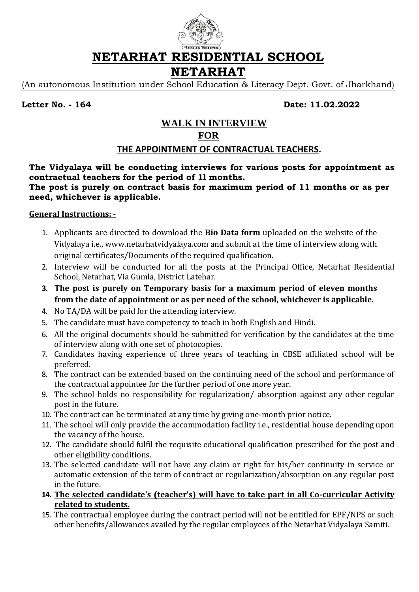

**NETARHAT RESIDENTIAL SCHOOL**

# **NETARHAT**

(An autonomous Institution under School Education & Literacy Dept. Govt. of Jharkhand)

**Letter No. - 164 Date: 11.02.2022**

# **WALK IN INTERVIEW FOR**

# **THE APPOINTMENT OF CONTRACTUAL TEACHERS.**

## **The Vidyalaya will be conducting interviews for various posts for appointment as contractual teachers for the period of 1l months.**

### **The post is purely on contract basis for maximum period of 11 months or as per need, whichever is applicable.**

## **General Instructions: -**

- 1. Applicants are directed to download the **Bio Data form** uploaded on the website of the Vidyalaya i.e., www.netarhatvidyalaya.com and submit at the time of interview along with original certificates/Documents of the required qualification.
- 2. Interview will be conducted for all the posts at the Principal Office, Netarhat Residential School, Netarhat, Via Gumla, District Latehar.
- **3. The post is purely on Temporary basis for a maximum period of eleven months from the date of appointment or as per need of the school, whichever is applicable.**
- 4. No TA/DA will be paid for the attending interview.
- 5. The candidate must have competency to teach in both English and Hindi.
- 6. All the original documents should be submitted for verification by the candidates at the time of interview along with one set of photocopies.
- 7. Candidates having experience of three years of teaching in CBSE affiliated school will be preferred.
- 8. The contract can be extended based on the continuing need of the school and performance of the contractual appointee for the further period of one more year.
- 9. The school holds no responsibility for regularization/ absorption against any other regular post in the future.
- 10. The contract can be terminated at any time by giving one-month prior notice.
- 11. The school will only provide the accommodation facility i.e., residential house depending upon the vacancy of the house.
- 12. The candidate should fulfil the requisite educational qualification prescribed for the post and other eligibility conditions.
- 13. The selected candidate will not have any claim or right for his/her continuity in service or automatic extension of the term of contract or regularization/absorption on any regular post in the future.
- **14. The selected candidate's (teacher's) will have to take part in all Co-curricular Activity related to students.**
- 15. The contractual employee during the contract period will not be entitled for EPF/NPS or such other benefits/allowances availed by the regular employees of the Netarhat Vidyalaya Samiti.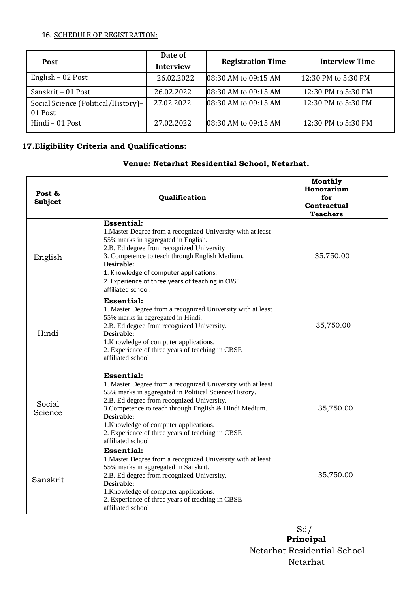#### 16. SCHEDULE OF REGISTRATION:

| <b>Post</b>                                    | Date of<br><b>Interview</b> | <b>Registration Time</b> | <b>Interview Time</b> |
|------------------------------------------------|-----------------------------|--------------------------|-----------------------|
| English - 02 Post                              | 26.02.2022                  | 08:30 AM to 09:15 AM     | 12:30 PM to 5:30 PM   |
| Sanskrit - 01 Post                             | 26.02.2022                  | 08:30 AM to 09:15 AM     | 12:30 PM to 5:30 PM   |
| Social Science (Political/History)-<br>01 Post | 27.02.2022                  | 08:30 AM to 09:15 AM     | 12:30 PM to 5:30 PM   |
| Hindi - 01 Post                                | 27.02.2022                  | 08:30 AM to 09:15 AM     | 12:30 PM to 5:30 PM   |

## **17.Eligibility Criteria and Qualifications:**

#### **Venue: Netarhat Residential School, Netarhat.**

| Post &<br><b>Subject</b> | Qualification                                                                                                                                                                                                                                                                                                                                                                       | Monthly<br>Honorarium<br>for<br>Contractual<br><b>Teachers</b> |
|--------------------------|-------------------------------------------------------------------------------------------------------------------------------------------------------------------------------------------------------------------------------------------------------------------------------------------------------------------------------------------------------------------------------------|----------------------------------------------------------------|
| English                  | <b>Essential:</b><br>1. Master Degree from a recognized University with at least<br>55% marks in aggregated in English.<br>2.B. Ed degree from recognized University<br>3. Competence to teach through English Medium.<br>Desirable:<br>1. Knowledge of computer applications.<br>2. Experience of three years of teaching in CBSE<br>affiliated school.                            | 35,750.00                                                      |
| Hindi                    | <b>Essential:</b><br>1. Master Degree from a recognized University with at least<br>55% marks in aggregated in Hindi.<br>2.B. Ed degree from recognized University.<br>Desirable:<br>1. Knowledge of computer applications.<br>2. Experience of three years of teaching in CBSE<br>affiliated school.                                                                               | 35,750.00                                                      |
| Social<br>Science        | <b>Essential:</b><br>1. Master Degree from a recognized University with at least<br>55% marks in aggregated in Political Science/History.<br>2.B. Ed degree from recognized University.<br>3. Competence to teach through English & Hindi Medium.<br>Desirable:<br>1. Knowledge of computer applications.<br>2. Experience of three years of teaching in CBSE<br>affiliated school. | 35,750.00                                                      |
| Sanskrit                 | <b>Essential:</b><br>1. Master Degree from a recognized University with at least<br>55% marks in aggregated in Sanskrit.<br>2.B. Ed degree from recognized University.<br>Desirable:<br>1. Knowledge of computer applications.<br>2. Experience of three years of teaching in CBSE<br>affiliated school.                                                                            | 35,750.00                                                      |

**Principal**  Sd/- Netarhat Residential School Netarhat